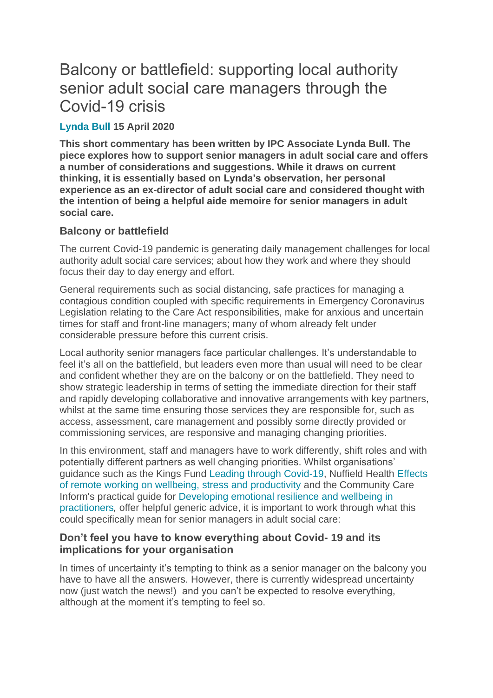# Balcony or battlefield: supporting local authority senior adult social care managers through the Covid-19 crisis

### **[Lynda Bull](https://ipc.brookes.ac.uk/about-ipc/team/Lynda-Bull.html) 15 April 2020**

**This short commentary has been written by IPC Associate Lynda Bull. The piece explores how to support senior managers in adult social care and offers a number of considerations and suggestions. While it draws on current thinking, it is essentially based on Lynda's observation, her personal experience as an ex-director of adult social care and considered thought with the intention of being a helpful aide memoire for senior managers in adult social care.**

#### **Balcony or battlefield**

The current Covid-19 pandemic is generating daily management challenges for local authority adult social care services; about how they work and where they should focus their day to day energy and effort.

General requirements such as social distancing, safe practices for managing a contagious condition coupled with specific requirements in Emergency Coronavirus Legislation relating to the Care Act responsibilities, make for anxious and uncertain times for staff and front-line managers; many of whom already felt under considerable pressure before this current crisis.

Local authority senior managers face particular challenges. It's understandable to feel it's all on the battlefield, but leaders even more than usual will need to be clear and confident whether they are on the balcony or on the battlefield. They need to show strategic leadership in terms of setting the immediate direction for their staff and rapidly developing collaborative and innovative arrangements with key partners, whilst at the same time ensuring those services they are responsible for, such as access, assessment, care management and possibly some directly provided or commissioning services, are responsive and managing changing priorities.

In this environment, staff and managers have to work differently, shift roles and with potentially different partners as well changing priorities. Whilst organisations' guidance such as the Kings Fund [Leading through Covid-19,](https://www.kingsfund.org.uk/projects/leading-through-covid-19) Nuffield Health [Effects](https://www.nuffieldhealth.com/article/the-effects-of-remote-working-on-wellbeing-stress-and-productivity)  [of remote working on wellbeing, stress and productivity](https://www.nuffieldhealth.com/article/the-effects-of-remote-working-on-wellbeing-stress-and-productivity) and the Community Care Inform's practical guide for [Developing emotional resilience and wellbeing in](https://www.communitycare.co.uk/2020/04/09/support-emotional-resilience-wellbeing-pandemic/)  [practitioners](https://www.communitycare.co.uk/2020/04/09/support-emotional-resilience-wellbeing-pandemic/)*,* offer helpful generic advice, it is important to work through what this could specifically mean for senior managers in adult social care:

#### **Don't feel you have to know everything about Covid- 19 and its implications for your organisation**

In times of uncertainty it's tempting to think as a senior manager on the balcony you have to have all the answers. However, there is currently widespread uncertainty now (just watch the news!) and you can't be expected to resolve everything, although at the moment it's tempting to feel so.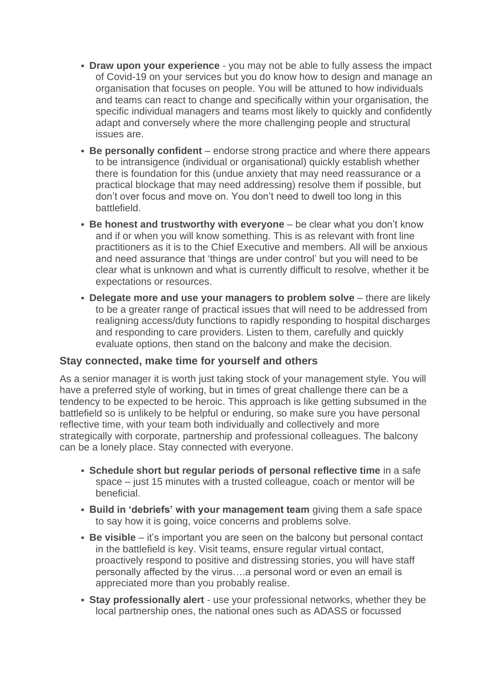- **Draw upon your experience** you may not be able to fully assess the impact of Covid-19 on your services but you do know how to design and manage an organisation that focuses on people. You will be attuned to how individuals and teams can react to change and specifically within your organisation, the specific individual managers and teams most likely to quickly and confidently adapt and conversely where the more challenging people and structural issues are.
- **Be personally confident** endorse strong practice and where there appears to be intransigence (individual or organisational) quickly establish whether there is foundation for this (undue anxiety that may need reassurance or a practical blockage that may need addressing) resolve them if possible, but don't over focus and move on. You don't need to dwell too long in this battlefield.
- **Example 1 Be honest and trustworthy with everyone** be clear what you don't know and if or when you will know something. This is as relevant with front line practitioners as it is to the Chief Executive and members. All will be anxious and need assurance that 'things are under control' but you will need to be clear what is unknown and what is currently difficult to resolve, whether it be expectations or resources.
- **Delegate more and use your managers to problem solve** there are likely to be a greater range of practical issues that will need to be addressed from realigning access/duty functions to rapidly responding to hospital discharges and responding to care providers. Listen to them, carefully and quickly evaluate options, then stand on the balcony and make the decision.

#### **Stay connected, make time for yourself and others**

As a senior manager it is worth just taking stock of your management style. You will have a preferred style of working, but in times of great challenge there can be a tendency to be expected to be heroic. This approach is like getting subsumed in the battlefield so is unlikely to be helpful or enduring, so make sure you have personal reflective time, with your team both individually and collectively and more strategically with corporate, partnership and professional colleagues. The balcony can be a lonely place. Stay connected with everyone.

- **EXEDENT Schedule short but requiar periods of personal reflective time** in a safe space – just 15 minutes with a trusted colleague, coach or mentor will be beneficial.
- **EXECT:** Build in 'debriefs' with your management team giving them a safe space to say how it is going, voice concerns and problems solve.
- **Be visible** it's important you are seen on the balcony but personal contact in the battlefield is key. Visit teams, ensure regular virtual contact, proactively respond to positive and distressing stories, you will have staff personally affected by the virus….a personal word or even an email is appreciated more than you probably realise.
- **· Stay professionally alert** use your professional networks, whether they be local partnership ones, the national ones such as ADASS or focussed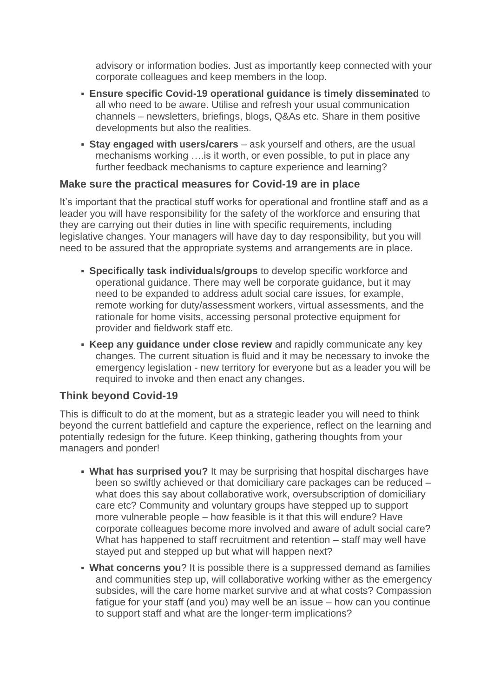advisory or information bodies. Just as importantly keep connected with your corporate colleagues and keep members in the loop.

- **Ensure specific Covid-19 operational guidance is timely disseminated** to all who need to be aware. Utilise and refresh your usual communication channels – newsletters, briefings, blogs, Q&As etc. Share in them positive developments but also the realities.
- **Stay engaged with users/carers** ask yourself and others, are the usual mechanisms working ….is it worth, or even possible, to put in place any further feedback mechanisms to capture experience and learning?

#### **Make sure the practical measures for Covid-19 are in place**

It's important that the practical stuff works for operational and frontline staff and as a leader you will have responsibility for the safety of the workforce and ensuring that they are carrying out their duties in line with specific requirements, including legislative changes. Your managers will have day to day responsibility, but you will need to be assured that the appropriate systems and arrangements are in place.

- **Specifically task individuals/groups** to develop specific workforce and operational guidance. There may well be corporate guidance, but it may need to be expanded to address adult social care issues, for example, remote working for duty/assessment workers, virtual assessments, and the rationale for home visits, accessing personal protective equipment for provider and fieldwork staff etc.
- **Example 2 Keep any quidance under close review** and rapidly communicate any key changes. The current situation is fluid and it may be necessary to invoke the emergency legislation - new territory for everyone but as a leader you will be required to invoke and then enact any changes.

## **Think beyond Covid-19**

This is difficult to do at the moment, but as a strategic leader you will need to think beyond the current battlefield and capture the experience, reflect on the learning and potentially redesign for the future. Keep thinking, gathering thoughts from your managers and ponder!

- **What has surprised you?** It may be surprising that hospital discharges have been so swiftly achieved or that domiciliary care packages can be reduced – what does this say about collaborative work, oversubscription of domiciliary care etc? Community and voluntary groups have stepped up to support more vulnerable people – how feasible is it that this will endure? Have corporate colleagues become more involved and aware of adult social care? What has happened to staff recruitment and retention – staff may well have stayed put and stepped up but what will happen next?
- **What concerns you**? It is possible there is a suppressed demand as families and communities step up, will collaborative working wither as the emergency subsides, will the care home market survive and at what costs? Compassion fatigue for your staff (and you) may well be an issue – how can you continue to support staff and what are the longer-term implications?